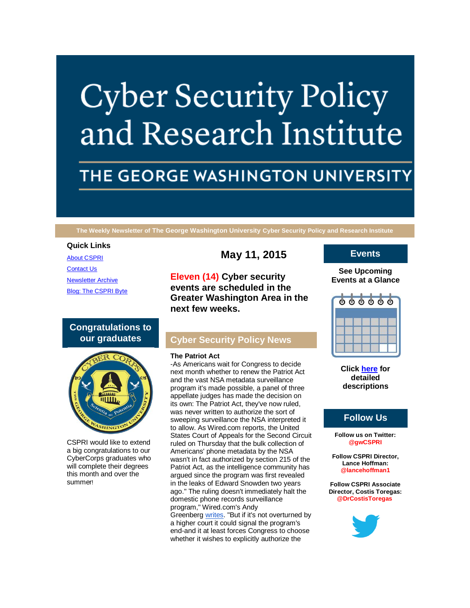# **Cyber Security Policy** and Research Institute

# THE GEORGE WASHINGTON UNIVERSITY

**The Weekly Newsletter of The George Washington University Cyber Security Policy and Research Institute**

#### **Quick Links**

[About CSPRI](http://r20.rs6.net/tn.jsp?f=001tru5BkSmVWq48t2lJ0ax03TFPk-Y3WX_6jKVLOsN2tNzE_mgo7EVISMxIONQYLOM06evoJk8ZmpW8MnZgpRruMUxuVY0_5d5AxQA0YwrCNKfHOjGPtLXn_1W51g6-Yfs3-4x8HdyeAFMNPGWcjywLrGGIBDtzYToZhqe1sWo_J2T1l77unHVkwTbfsUsTXua&c=0zfD1u_2j6f0MGc-kgTni4ehLMc75PFbAzBrIp-QJqGcCoV4Pqqk1w==&ch=mZB4fivuv54wrdiNmtjmW8mplwXF2j-f33EmrYixotA3hS4Bj-pAqg==) [Contact Us](http://r20.rs6.net/tn.jsp?f=001tru5BkSmVWq48t2lJ0ax03TFPk-Y3WX_6jKVLOsN2tNzE_mgo7EVISMxIONQYLOMow-kr6VOPrAVvxU0bD7k0_uRwMDxeIwK4zX3TwBi962rmdlMhjyx-GtafNsdGYZw0LKMTjMHs5zTi4_2iMwoDPBuu1QVoAMf5Rs4stRdboQNv_e7AUqAto1gX1lKOmRETZWewFHYIsI=&c=0zfD1u_2j6f0MGc-kgTni4ehLMc75PFbAzBrIp-QJqGcCoV4Pqqk1w==&ch=mZB4fivuv54wrdiNmtjmW8mplwXF2j-f33EmrYixotA3hS4Bj-pAqg==) [Newsletter Archive](http://r20.rs6.net/tn.jsp?f=001tru5BkSmVWq48t2lJ0ax03TFPk-Y3WX_6jKVLOsN2tNzE_mgo7EVISMxIONQYLOMYVdi2qJls2E5rvLOzEhSUqFemqLlrUS79ECv-y83GYsZW-vWoXmtMm55G7Z-AUg_XBniaAjMO2wyOnL_es485uT_0GpRUzgv59iQTc06PCJtORoaWoT7sGNijq8gU-KwhQPcF6fMh7w=&c=0zfD1u_2j6f0MGc-kgTni4ehLMc75PFbAzBrIp-QJqGcCoV4Pqqk1w==&ch=mZB4fivuv54wrdiNmtjmW8mplwXF2j-f33EmrYixotA3hS4Bj-pAqg==) [Blog: The CSPRI Byte](http://r20.rs6.net/tn.jsp?f=001tru5BkSmVWq48t2lJ0ax03TFPk-Y3WX_6jKVLOsN2tNzE_mgo7EVISMxIONQYLOMe56hNsjPIprt8Q9stR17cD0L3XctJTyzZAHlobXbPli_pgER-Y0tnONOSgEP8IKrzpj5IC4dIZc_khPxUPKO6uBzmMTOyhS3bzu3YqB7PlTpwdRLz7NK1scfhUjJWNUV&c=0zfD1u_2j6f0MGc-kgTni4ehLMc75PFbAzBrIp-QJqGcCoV4Pqqk1w==&ch=mZB4fivuv54wrdiNmtjmW8mplwXF2j-f33EmrYixotA3hS4Bj-pAqg==)

# **Congratulations to our graduates**



CSPRI would like to extend a big congratulations to our CyberCorps graduates who will complete their degrees this month and over the summer!

**May 11, 2015**

**Eleven (14) Cyber security events are scheduled in the Greater Washington Area in the next few weeks.**

# **Cyber Security Policy News**

#### **The Patriot Act**

-As Americans wait for Congress to decide next month whether to renew the Patriot Act and the vast NSA metadata surveillance program it's made possible, a panel of three appellate judges has made the decision on its own: The Patriot Act, they've now ruled, was never written to authorize the sort of sweeping surveillance the NSA interpreted it to allow. As Wired.com reports, the United States Court of Appeals for the Second Circuit ruled on Thursday that the bulk collection of Americans' phone metadata by the NSA wasn't in fact authorized by section 215 of the Patriot Act, as the intelligence community has argued since the program was first revealed in the leaks of Edward Snowden two years ago." The ruling doesn't immediately halt the domestic phone records surveillance program," Wired.com's Andy Greenberg [writes.](http://r20.rs6.net/tn.jsp?f=001tru5BkSmVWq48t2lJ0ax03TFPk-Y3WX_6jKVLOsN2tNzE_mgo7EVIStxnx1Zc2hF7lBVlHb5DUh_Zb3wY9eiDORdn6kcSJG9iyeaqTryz3-olf3v7FPlJQmQe4IJtdoO77rZtS_EKNqyBvMPdVV95qF54sDjZt7VRRKXqZ-DDDNMf1rBK-ENpLDNZkjbZvndwjyknXCWNNWnMAbhgQvyacSbALGDApNb0-eKexLOIlKt0ZEKeUw1LouayL6Zk5QJQ1GSPK1Whfr0Pa8igJiegQ==&c=0zfD1u_2j6f0MGc-kgTni4ehLMc75PFbAzBrIp-QJqGcCoV4Pqqk1w==&ch=mZB4fivuv54wrdiNmtjmW8mplwXF2j-f33EmrYixotA3hS4Bj-pAqg==) "But if it's not overturned by a higher court it could signal the program's end-and it at least forces Congress to choose whether it wishes to explicitly authorize the

### **Events**

#### **See Upcoming Events at a Glance**



**Click [here](http://r20.rs6.net/tn.jsp?f=001tru5BkSmVWq48t2lJ0ax03TFPk-Y3WX_6jKVLOsN2tNzE_mgo7EVISMxIONQYLOMY85UeTRbEJ1JLPGIFcswRwKU1IRPtaH8flQ6wvhi7ugb0Fz-vaRnS5NECN1jOPSqF_lMGQzNcz8EoVHBHU3HLfPZiXqCpDkMxRKRh0Bze772NFwaCDeCUelt-ktfaswQZxmG7WuMYFcnpPp1CZkJzg==&c=0zfD1u_2j6f0MGc-kgTni4ehLMc75PFbAzBrIp-QJqGcCoV4Pqqk1w==&ch=mZB4fivuv54wrdiNmtjmW8mplwXF2j-f33EmrYixotA3hS4Bj-pAqg==) for detailed descriptions**

# **Follow Us**

**Follow us on Twitter: @gwCSPRI**

**Follow CSPRI Director, Lance Hoffman: @lancehoffman1**

**Follow CSPRI Associate Director, Costis Toregas: @DrCostisToregas**

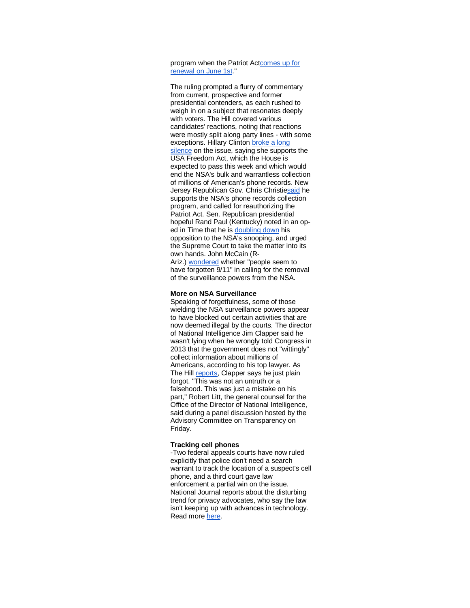program when the Patriot A[ctcomes up for](http://r20.rs6.net/tn.jsp?f=001tru5BkSmVWq48t2lJ0ax03TFPk-Y3WX_6jKVLOsN2tNzE_mgo7EVIStxnx1Zc2hFtB_v5vYforFkkQRddnlsRuwcEHr-iPragiIwrshiVqOk9auIvqXErmAWnEfqFpJ_yKeyYh3YFzVeXuyTG11-F5QphM-epqFCfBlbEQGCeHRxpYTDM2vSwpWMwSwOLcXuOGFWGpXEX8ZfTXBGdgTZACf7Z8Htiy6SrFnpr6eVVNE=&c=0zfD1u_2j6f0MGc-kgTni4ehLMc75PFbAzBrIp-QJqGcCoV4Pqqk1w==&ch=mZB4fivuv54wrdiNmtjmW8mplwXF2j-f33EmrYixotA3hS4Bj-pAqg==)  [renewal on](http://r20.rs6.net/tn.jsp?f=001tru5BkSmVWq48t2lJ0ax03TFPk-Y3WX_6jKVLOsN2tNzE_mgo7EVIStxnx1Zc2hFtB_v5vYforFkkQRddnlsRuwcEHr-iPragiIwrshiVqOk9auIvqXErmAWnEfqFpJ_yKeyYh3YFzVeXuyTG11-F5QphM-epqFCfBlbEQGCeHRxpYTDM2vSwpWMwSwOLcXuOGFWGpXEX8ZfTXBGdgTZACf7Z8Htiy6SrFnpr6eVVNE=&c=0zfD1u_2j6f0MGc-kgTni4ehLMc75PFbAzBrIp-QJqGcCoV4Pqqk1w==&ch=mZB4fivuv54wrdiNmtjmW8mplwXF2j-f33EmrYixotA3hS4Bj-pAqg==) June 1st."

The ruling prompted a flurry of commentary from current, prospective and former presidential contenders, as each rushed to weigh in on a subject that resonates deeply with voters. The Hill covered various candidates' reactions, noting that reactions were mostly split along party lines - with some exceptions. Hillary Clinton [broke a long](http://r20.rs6.net/tn.jsp?f=001tru5BkSmVWq48t2lJ0ax03TFPk-Y3WX_6jKVLOsN2tNzE_mgo7EVIStxnx1Zc2hFJTUrokZCGXunetSCdpjrczzJyTFtX77MfZ3IQYGXLlyj3oWk0qzCrjmaXW_HuiSvsrMH_blcUJyG8Z55NeIi3uJTCvHQBqYPO-Vv4sS_BIbVO22B_nDz0DjkPCtXm_X0RHWN0qscCvTxpdCZ_31jEpsASn7zYkZlYPRMOd1GSyV_ajCNcsb7xc20Ckq5_7G4OhXlI3qVDt0=&c=0zfD1u_2j6f0MGc-kgTni4ehLMc75PFbAzBrIp-QJqGcCoV4Pqqk1w==&ch=mZB4fivuv54wrdiNmtjmW8mplwXF2j-f33EmrYixotA3hS4Bj-pAqg==)  [silence](http://r20.rs6.net/tn.jsp?f=001tru5BkSmVWq48t2lJ0ax03TFPk-Y3WX_6jKVLOsN2tNzE_mgo7EVIStxnx1Zc2hFJTUrokZCGXunetSCdpjrczzJyTFtX77MfZ3IQYGXLlyj3oWk0qzCrjmaXW_HuiSvsrMH_blcUJyG8Z55NeIi3uJTCvHQBqYPO-Vv4sS_BIbVO22B_nDz0DjkPCtXm_X0RHWN0qscCvTxpdCZ_31jEpsASn7zYkZlYPRMOd1GSyV_ajCNcsb7xc20Ckq5_7G4OhXlI3qVDt0=&c=0zfD1u_2j6f0MGc-kgTni4ehLMc75PFbAzBrIp-QJqGcCoV4Pqqk1w==&ch=mZB4fivuv54wrdiNmtjmW8mplwXF2j-f33EmrYixotA3hS4Bj-pAqg==) on the issue, saying she supports the USA Freedom Act, which the House is expected to pass this week and which would end the NSA's bulk and warrantless collection of millions of American's phone records. New Jersey Republican Gov. Chris Christi[esaid](http://r20.rs6.net/tn.jsp?f=001tru5BkSmVWq48t2lJ0ax03TFPk-Y3WX_6jKVLOsN2tNzE_mgo7EVIStxnx1Zc2hFD1f5xv0SDg4VsPGZnJV5OCnncV131waGyC9xcMyQGy8lIwJBkAhE2XHwyMM2PyVW2KfP59HTsmiPHEWnltkKgc7gy2D5JklbE5KTXdesI4QMEY7T6BZRHFQRdOq5sY4TGjx0Z8yK-l34CCXwQ-h4l0Wse9rcBJ9n0U6hO1a1nq3nu3pLNhNUYJBbwsRLC5_x&c=0zfD1u_2j6f0MGc-kgTni4ehLMc75PFbAzBrIp-QJqGcCoV4Pqqk1w==&ch=mZB4fivuv54wrdiNmtjmW8mplwXF2j-f33EmrYixotA3hS4Bj-pAqg==) he supports the NSA's phone records collection program, and called for reauthorizing the Patriot Act. Sen. Republican presidential hopeful Rand Paul (Kentucky) noted in an oped in Time that he is [doubling down](http://r20.rs6.net/tn.jsp?f=001tru5BkSmVWq48t2lJ0ax03TFPk-Y3WX_6jKVLOsN2tNzE_mgo7EVIStxnx1Zc2hFiC7u2C40iirG4tfVNX5avWIITlI2-SlLFaDFcLiMIrftdaQpblVOEv6cAdOIjr87mfo6ujBygHVN0KufSBRVmKREPTBd5LSVk62l0r7NnlnoGctUXsg3wI4fVJkY6ulqTk5RVUjuVMgZ_IJ7CRbCTHelvAu9SYbtgIQJrbG8oGOWZOAdICb6nO-6wfaUSEvXecQrpSdseBBe4UZUpo2D4A==&c=0zfD1u_2j6f0MGc-kgTni4ehLMc75PFbAzBrIp-QJqGcCoV4Pqqk1w==&ch=mZB4fivuv54wrdiNmtjmW8mplwXF2j-f33EmrYixotA3hS4Bj-pAqg==) his opposition to the NSA's snooping, and urged the Supreme Court to take the matter into its own hands. John McCain (RAriz.) [wondered](http://r20.rs6.net/tn.jsp?f=001tru5BkSmVWq48t2lJ0ax03TFPk-Y3WX_6jKVLOsN2tNzE_mgo7EVIStxnx1Zc2hFSPCPE7-zZuzzP5pQJ8OTIGHrNOZlczJQ9UknM9UYtMEek3yO0FRmMUuR9cFJLiL-5iGlQLleXC5TLzPLnEIR33IBCxkInH1xPyoiyMy90Pla_nKspAx3zMLQDdiHziGFf7RIkdIAOXMo9tqerAdGb9Um1Zid0l0ugzgsZKzFyD1WsGPlOENv2PAbHlHk3kOU9mmSO-RXerilECupIAe8MybEPcIjbOOi&c=0zfD1u_2j6f0MGc-kgTni4ehLMc75PFbAzBrIp-QJqGcCoV4Pqqk1w==&ch=mZB4fivuv54wrdiNmtjmW8mplwXF2j-f33EmrYixotA3hS4Bj-pAqg==) whether "people seem to have forgotten 9/11" in calling for the removal of the surveillance powers from the NSA.

#### **More on NSA Surveillance**

Speaking of forgetfulness, some of those wielding the NSA surveillance powers appear to have blocked out certain activities that are now deemed illegal by the courts. The director of National Intelligence Jim Clapper said he wasn't lying when he wrongly told Congress in 2013 that the government does not "wittingly" collect information about millions of Americans, according to his top lawyer. As The Hill [reports,](http://r20.rs6.net/tn.jsp?f=001tru5BkSmVWq48t2lJ0ax03TFPk-Y3WX_6jKVLOsN2tNzE_mgo7EVIStxnx1Zc2hFi8OdrFjhLnoewdTp89QmMMy_pisuo2BtsH0uOizJDPiqq_WxSCPGSh5cbUWIFI7b_i5E6hVh36oSpVfzFx25wSuaAsD84mCx1buvM7sM7j2aHU2pIe6aGWkSsyS_-ydtoXjhayykVLj72HU2hRK8XRBA7vK7p4-OftGUMGqheHitQT3JoozZ2s01XrxAG7b9lEZgnkDOWeBsFVdqtnePTw==&c=0zfD1u_2j6f0MGc-kgTni4ehLMc75PFbAzBrIp-QJqGcCoV4Pqqk1w==&ch=mZB4fivuv54wrdiNmtjmW8mplwXF2j-f33EmrYixotA3hS4Bj-pAqg==) Clapper says he just plain forgot. "This was not an untruth or a falsehood. This was just a mistake on his part," Robert Litt, the general counsel for the Office of the Director of National Intelligence, said during a panel discussion hosted by the Advisory Committee on Transparency on Friday.

#### **Tracking cell phones**

-Two federal appeals courts have now ruled explicitly that police don't need a search warrant to track the location of a suspect's cell phone, and a third court gave law enforcement a partial win on the issue. National Journal reports about the disturbing trend for privacy advocates, who say the law isn't keeping up with advances in technology. Read more [here.](http://r20.rs6.net/tn.jsp?f=001tru5BkSmVWq48t2lJ0ax03TFPk-Y3WX_6jKVLOsN2tNzE_mgo7EVIStxnx1Zc2hFs6EfU1bT37sHUz13JJyUabDATKUMjVaXg6JN3vV149q_jS9eekg75fzosyhMXpJB4aV7d0Lguf6oBbuxt2030hkaU7EEhA1llD2EPyWuedocPOzKh0T_QVkmBniEcV09Oo6os7f5hwed5UChmgY23v7kBhQnzZGYzu2fP93QO-5UB9E7nCnmNGso1Li3DzjpSp861YXi6J6fy0-stf7nQs98BP3Ld4ia&c=0zfD1u_2j6f0MGc-kgTni4ehLMc75PFbAzBrIp-QJqGcCoV4Pqqk1w==&ch=mZB4fivuv54wrdiNmtjmW8mplwXF2j-f33EmrYixotA3hS4Bj-pAqg==)